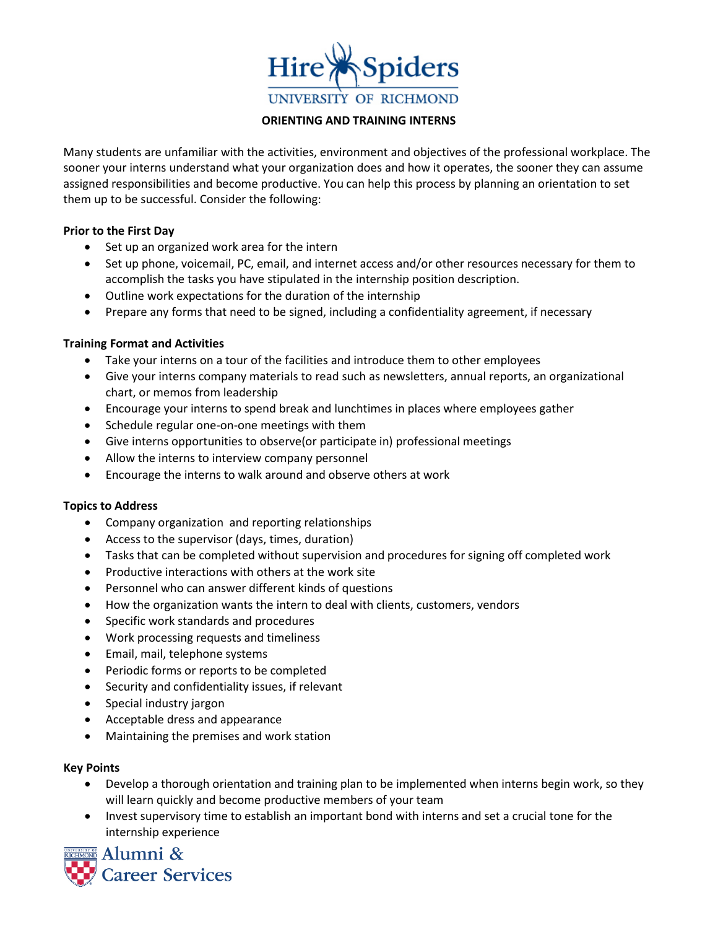

#### **ORIENTING AND TRAINING INTERNS**

Many students are unfamiliar with the activities, environment and objectives of the professional workplace. The sooner your interns understand what your organization does and how it operates, the sooner they can assume assigned responsibilities and become productive. You can help this process by planning an orientation to set them up to be successful. Consider the following:

## **Prior to the First Day**

- Set up an organized work area for the intern
- Set up phone, voicemail, PC, email, and internet access and/or other resources necessary for them to accomplish the tasks you have stipulated in the internship position description.
- Outline work expectations for the duration of the internship
- Prepare any forms that need to be signed, including a confidentiality agreement, if necessary

## **Training Format and Activities**

- Take your interns on a tour of the facilities and introduce them to other employees
- Give your interns company materials to read such as newsletters, annual reports, an organizational chart, or memos from leadership
- Encourage your interns to spend break and lunchtimes in places where employees gather
- Schedule regular one-on-one meetings with them
- Give interns opportunities to observe(or participate in) professional meetings
- Allow the interns to interview company personnel
- Encourage the interns to walk around and observe others at work

## **Topics to Address**

- Company organization and reporting relationships
- Access to the supervisor (days, times, duration)
- Tasks that can be completed without supervision and procedures for signing off completed work
- Productive interactions with others at the work site
- Personnel who can answer different kinds of questions
- How the organization wants the intern to deal with clients, customers, vendors
- Specific work standards and procedures
- Work processing requests and timeliness
- Email, mail, telephone systems
- Periodic forms or reports to be completed
- Security and confidentiality issues, if relevant
- Special industry jargon
- Acceptable dress and appearance
- Maintaining the premises and work station

## **Key Points**

- Develop a thorough orientation and training plan to be implemented when interns begin work, so they will learn quickly and become productive members of your team
- Invest supervisory time to establish an important bond with interns and set a crucial tone for the internship experience